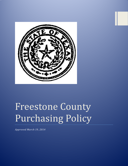

# Freestone County Purchasing Policy

*Approved March 19, 2014*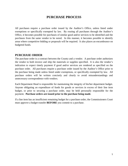# **PURCHASE PROCESS**

All purchases require a purchase order issued by the Auditor's Office, unless listed under exemptions or specifically exempted by law. By routing all purchases through the Auditor's Office, it becomes possible for purchases of similar good and/or services to be identified and the purchases from the same vendor to be noted. In this manner, it becomes possible to identify areas where competitive bidding or proposals will be required. It also places an encumbrance on budgeted funds.

## **PURCHASE ORDER**

The purchase order is a contract between the County and a vendor. A purchase order authorizes the vendor to both invoice and ship the materials or supplies specified. It is also the vendor's indication to expect timely payment if good and/or services are rendered as specified on the purchase order. All purchases require a purchase order issued by the Auditor's Office prior to the purchase being made unless listed under exemptions, or specifically exempted by law. All purchase orders will be written concisely and clearly to avoid misunderstandings and unnecessary correspondence with vendors.

Each Department Head is responsible for maintaining the integrity of his/her department budget. Anyone obligating an expenditure of funds for goods or services in excess of their line item budget, or prior to securing a purchase order, may be held personally responsible for the payment. **Purchase orders are issued prior to the purchase being made**.

If a line item has an insufficient remaining budget for a purchase order, the Commissioners Court must approve a budget transfer **BEFORE** you commit to a purchase.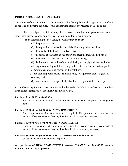## **PURCHASES LESS THAN \$50,000**

The purpose of this section is to provide guidance for the regulations that apply to the purchase of material, equipment, supplies, repairs and services that are not required by law to be bid.

The general practice of the County shall be to accept the lowest responsible quote or the bidder who provides goods or services at the best value for the municipality.

- (b) In determining the best value, the County may consider:
	- (1) the purchase price;
	- (2) the reputation of the bidder and of the bidder's goods or services;
	- (3) the quality of the bidder's goods or services;
	- (4) the extent to which the goods or services meet the municipality's needs;
	- (5) the bidder's past relationship with the municipality;

(6) the impact on the ability of the municipality to comply with laws and rules relating to contracting with historically underutilized businesses and nonprofit organizations employing persons with disabilities;

- (7) the total long-term cost to the municipality to acquire the bidder's goods or services; and
- (8) any relevant criteria specifically listed in the request for bids or proposals.

All purchases require a purchase order issued by the Auditor's Office regardless of price unless listed under exemptions, or specifically exempted by law.

#### **Purchases from \$1.00 to \$5,000.00 –**

Purchase order only is required if adequate funds are available in the appropriate budget line item.

#### **Purchases \$5,000.01 to \$20,000.00 of NEW COMMODITIES –**

Three telephone quotations at a minimum are required. Exceptions are purchases made at auction, off state contract, or from buy boards which do not require quotations.

#### **Purchases \$20,000.01 to \$49,999.99 of NEW COMMODITIES –**

Three written quotations at a minimum are required. Exceptions are purchases made at auction, off state contract, or from buy boards which do not require quotations.

#### **Purchases \$5,000.01 to \$49,999.99 of USED COMMODITIES or SERVICES –**

One telephone or written quotation required.

**All purchases of NEW COMMODITIES between \$20,000.01 to \$49,999.99 require Commissioner's Court approval.**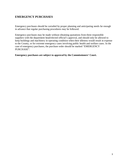# **EMERGENCY PURCHASES**

Emergency purchases should be curtailed by proper planning and anticipating needs far enough in advance that regular purchasing procedures may be followed.

Emergency purchases may be made without obtaining quotations from three responsible suppliers with the department head/elected official's approval, and should only be allowed to keep buildings and machinery in operating condition when their idleness would result in expense to the County, or for extreme emergency cases involving public health and welfare cases. In the case of emergency purchases, the purchase order should be marked "EMERGENCY PURCHASE".

### **Emergency purchases are subject to approval by the Commissioners' Court.**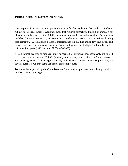## **PURCHASES OF \$50,000 OR MORE**

The purpose of this section is to provide guidance for the regulations that apply to purchases subject to the Texas Local Government Code that requires competitive bidding or proposals for all county purchases exceeding \$50,000 in amount for a product or with a vendor. The laws also prohibit "separate, sequential, or component purchases to avoid the competitive bidding requirements". A violation is a Class B misdemeanor (\$2,000 fine and/or 180 days in jail) and conviction results in immediate removal from employment and ineligibility for other public office for four years (LGC Section 262.034 – 262.035).

Sealed competitive bids or proposals must be secured for all transactions reasonably anticipated to be equal to or in excess of \$50,000 (annually county wide) unless offered on State contract or Inter-local agreement. This category not only includes single product or service purchases, but several purchases with the same vendor for different products.

Bids must be approved by the Commissioners Court prior to purchase orders being issued for purchases from this category.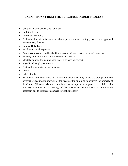## **EXEMPTIONS FROM THE PURCHASE ORDER PROCESS**

- Utilities: phone, water, electricity, gas
- Building Rents
- Insurance Premiums
- Professional services for unforeseeable expenses such as: autopsy fees, court appointed attorney fees, doctors
- Routine Duty Travel
- Employee Travel Expenses
- Appropriations approved by the Commissioners Court during the budget process
- Monthly billings for items purchased under contract
- Monthly billings for maintenance under a service agreement
- Payroll and Employee Benefits
- Postage from county postage machine
- Jurors
- Indigent bills
- Emergency Purchases made in (1) a case of public calamity where the prompt purchase of items are required to provide for the needs of the public or to preserve the property of the County, (2) a case where the item is necessary to preserve or protect the public health or safety of residents of the County; and (3) a case where the purchase of an item is made necessary due to unforeseen damage to public property.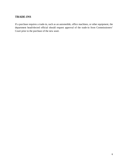# **TRADE-INS**

If a purchase requires a trade-in, such as an automobile, office machines, or other equipment, the department head/elected official should request approval of the trade-in from Commissioners' Court prior to the purchase of the new asset.